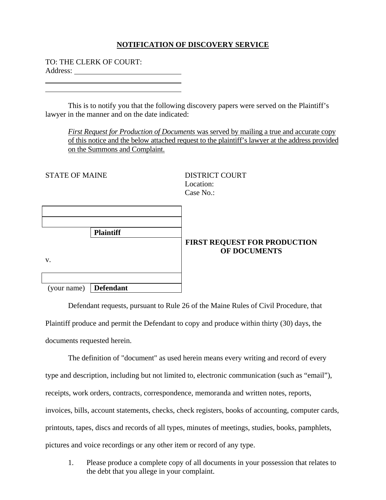## **NOTIFICATION OF DISCOVERY SERVICE**

TO: THE CLERK OF COURT:

Address:

 $\overline{a}$  $\overline{a}$ 

 This is to notify you that the following discovery papers were served on the Plaintiff's lawyer in the manner and on the date indicated:

*First Request for Production of Documents* was served by mailing a true and accurate copy of this notice and the below attached request to the plaintiff's lawyer at the address provided on the Summons and Complaint.

STATE OF MAINE

DISTRICT COURT Location:  $Case No.$ 

|    | <b>Plaintiff</b>        |                 |
|----|-------------------------|-----------------|
|    |                         | <b>FIRST RE</b> |
| V. |                         |                 |
|    |                         |                 |
|    | (your name)   Defendant |                 |

## **QUEST FOR PRODUCTION OF DOCUMENTS**

 Defendant requests, pursuant to Rule 26 of the Maine Rules of Civil Procedure, that Plaintiff produce and permit the Defendant to copy and produce within thirty (30) days, the documents requested herein.

 The definition of "document" as used herein means every writing and record of every type and description, including but not limited to, electronic communication (such as "email"), receipts, work orders, contracts, correspondence, memoranda and written notes, reports, invoices, bills, account statements, checks, check registers, books of accounting, computer cards, printouts, tapes, discs and records of all types, minutes of meetings, studies, books, pamphlets, pictures and voice recordings or any other item or record of any type.

1. Please produce a complete copy of all documents in your possession that relates to the debt that you allege in your complaint.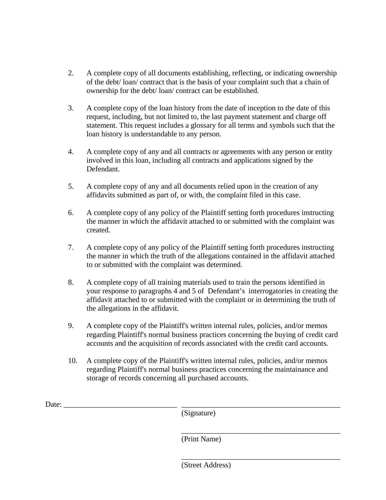- 2. A complete copy of all documents establishing, reflecting, or indicating ownership of the debt/ loan/ contract that is the basis of your complaint such that a chain of ownership for the debt/ loan/ contract can be established.
- 3. A complete copy of the loan history from the date of inception to the date of this request, including, but not limited to, the last payment statement and charge off statement. This request includes a glossary for all terms and symbols such that the loan history is understandable to any person.
- 4. A complete copy of any and all contracts or agreements with any person or entity involved in this loan, including all contracts and applications signed by the Defendant.
- 5. A complete copy of any and all documents relied upon in the creation of any affidavits submitted as part of, or with, the complaint filed in this case.
- 6. A complete copy of any policy of the Plaintiff setting forth procedures instructing the manner in which the affidavit attached to or submitted with the complaint was created.
- 7. A complete copy of any policy of the Plaintiff setting forth procedures instructing the manner in which the truth of the allegations contained in the affidavit attached to or submitted with the complaint was determined.
- 8. A complete copy of all training materials used to train the persons identified in your response to paragraphs 4 and 5 of Defendant's interrogatories in creating the affidavit attached to or submitted with the complaint or in determining the truth of the allegations in the affidavit.
- 9. A complete copy of the Plaintiff's written internal rules, policies, and/or memos regarding Plaintiff's normal business practices concerning the buying of credit card accounts and the acquisition of records associated with the credit card accounts.
- 10. A complete copy of the Plaintiff's written internal rules, policies, and/or memos regarding Plaintiff's normal business practices concerning the maintainance and storage of records concerning all purchased accounts.

Date:

(Signature)

 $\overline{\phantom{a}}$  , which is a set of the set of the set of the set of the set of the set of the set of the set of the set of the set of the set of the set of the set of the set of the set of the set of the set of the set of th

 $\overline{\phantom{a}}$  , and the contract of the contract of the contract of the contract of the contract of the contract of the contract of the contract of the contract of the contract of the contract of the contract of the contrac

(Print Name)

(Street Address)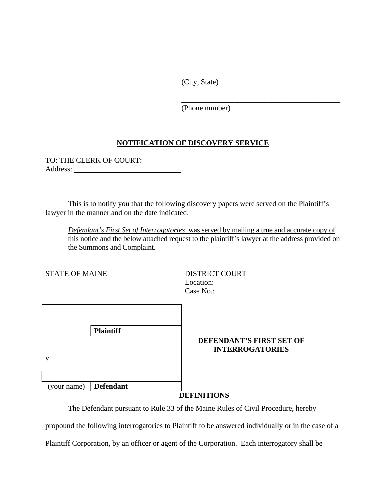(City, State)

 $\overline{\phantom{a}}$  , and the contract of the contract of the contract of the contract of the contract of the contract of the contract of the contract of the contract of the contract of the contract of the contract of the contrac

 $\overline{\phantom{a}}$  , which is a set of the set of the set of the set of the set of the set of the set of the set of the set of the set of the set of the set of the set of the set of the set of the set of the set of the set of th

(Phone number)

## **NOTIFICATION OF DISCOVERY SERVICE**

TO: THE CLERK OF COURT: Address:

 This is to notify you that the following discovery papers were served on the Plaintiff's lawyer in the manner and on the date indicated:

*Defendant's First Set of Interrogatories* was served by mailing a true and accurate copy of this notice and the below attached request to the plaintiff's lawyer at the address provided on the Summons and Complaint.

STATE OF MAINE

 $\overline{a}$  $\overline{a}$ 

> DISTRICT COURT Location: Case No.:

|                         | <b>Plaintiff</b> |  |
|-------------------------|------------------|--|
|                         |                  |  |
| V.                      |                  |  |
|                         |                  |  |
|                         |                  |  |
| (your name)   Defendant |                  |  |

## **DEFENDANT'S FIRST SET OF INTERROGATORIES**

**DEFINITIONS** 

The Defendant pursuant to Rule 33 of the Maine Rules of Civil Procedure, hereby

propound the following interrogatories to Plaintiff to be answered individually or in the case of a

Plaintiff Corporation, by an officer or agent of the Corporation. Each interrogatory shall be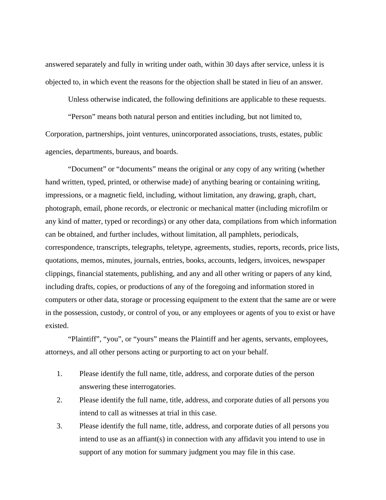answered separately and fully in writing under oath, within 30 days after service, unless it is objected to, in which event the reasons for the objection shall be stated in lieu of an answer.

Unless otherwise indicated, the following definitions are applicable to these requests.

"Person" means both natural person and entities including, but not limited to, Corporation, partnerships, joint ventures, unincorporated associations, trusts, estates, public agencies, departments, bureaus, and boards.

"Document" or "documents" means the original or any copy of any writing (whether hand written, typed, printed, or otherwise made) of anything bearing or containing writing, impressions, or a magnetic field, including, without limitation, any drawing, graph, chart, photograph, email, phone records, or electronic or mechanical matter (including microfilm or any kind of matter, typed or recordings) or any other data, compilations from which information can be obtained, and further includes, without limitation, all pamphlets, periodicals, correspondence, transcripts, telegraphs, teletype, agreements, studies, reports, records, price lists, quotations, memos, minutes, journals, entries, books, accounts, ledgers, invoices, newspaper clippings, financial statements, publishing, and any and all other writing or papers of any kind, including drafts, copies, or productions of any of the foregoing and information stored in computers or other data, storage or processing equipment to the extent that the same are or were in the possession, custody, or control of you, or any employees or agents of you to exist or have existed.

"Plaintiff", "you", or "yours" means the Plaintiff and her agents, servants, employees, attorneys, and all other persons acting or purporting to act on your behalf.

- 1. Please identify the full name, title, address, and corporate duties of the person answering these interrogatories.
- 2. Please identify the full name, title, address, and corporate duties of all persons you intend to call as witnesses at trial in this case.
- 3. Please identify the full name, title, address, and corporate duties of all persons you intend to use as an affiant(s) in connection with any affidavit you intend to use in support of any motion for summary judgment you may file in this case.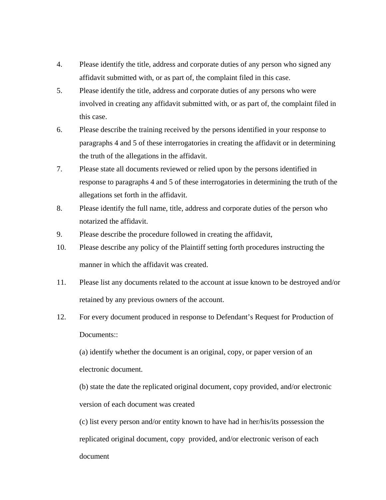- 4. Please identify the title, address and corporate duties of any person who signed any affidavit submitted with, or as part of, the complaint filed in this case.
- 5. Please identify the title, address and corporate duties of any persons who were involved in creating any affidavit submitted with, or as part of, the complaint filed in this case.
- 6. Please describe the training received by the persons identified in your response to paragraphs 4 and 5 of these interrogatories in creating the affidavit or in determining the truth of the allegations in the affidavit.
- 7. Please state all documents reviewed or relied upon by the persons identified in response to paragraphs 4 and 5 of these interrogatories in determining the truth of the allegations set forth in the affidavit.
- 8. Please identify the full name, title, address and corporate duties of the person who notarized the affidavit.
- 9. Please describe the procedure followed in creating the affidavit,
- 10. Please describe any policy of the Plaintiff setting forth procedures instructing the manner in which the affidavit was created.
- 11. Please list any documents related to the account at issue known to be destroyed and/or retained by any previous owners of the account.
- 12. For every document produced in response to Defendant's Request for Production of Documents::

(a) identify whether the document is an original, copy, or paper version of an electronic document.

(b) state the date the replicated original document, copy provided, and/or electronic version of each document was created

(c) list every person and/or entity known to have had in her/his/its possession the replicated original document, copy provided, and/or electronic verison of each document